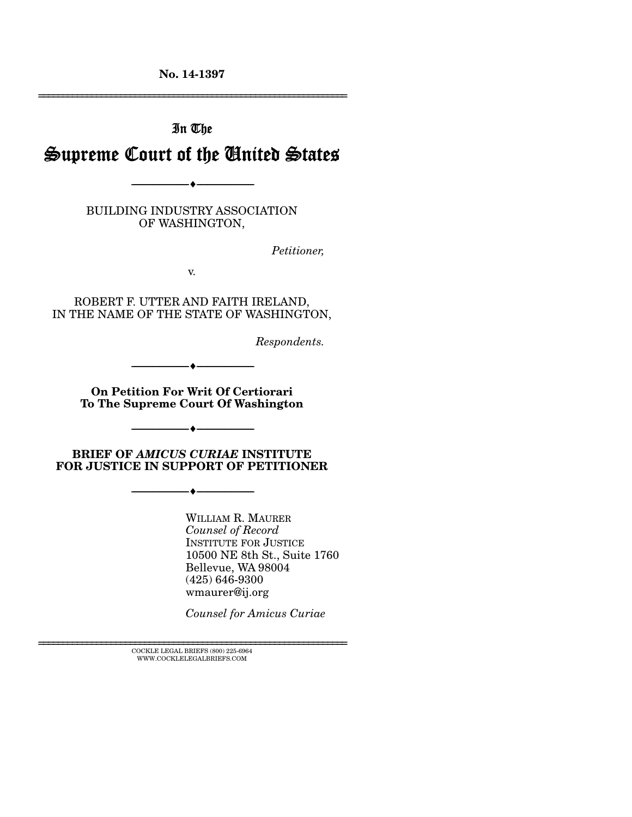**No. 14-1397** 

================================================================

# In The Supreme Court of the United States

BUILDING INDUSTRY ASSOCIATION OF WASHINGTON,

--------------------------------- ---------------------------------

*Petitioner,* 

v.

ROBERT F. UTTER AND FAITH IRELAND, IN THE NAME OF THE STATE OF WASHINGTON,

*Respondents.* 

**On Petition For Writ Of Certiorari To The Supreme Court Of Washington** 

--------------------------------- ---------------------------------

**BRIEF OF** *AMICUS CURIAE* **INSTITUTE FOR JUSTICE IN SUPPORT OF PETITIONER** 

--------------------------------- ---------------------------------

--------------------------------- ---------------------------------

WILLIAM R. MAURER *Counsel of Record*  INSTITUTE FOR JUSTICE 10500 NE 8th St., Suite 1760 Bellevue, WA 98004 (425) 646-9300 wmaurer@ij.org

*Counsel for Amicus Curiae* 

 $\textsc{COCKLE}$  LEGAL BRIEFS (800) 225-6964 WWW.COCKLELEGALBRIEFS.COM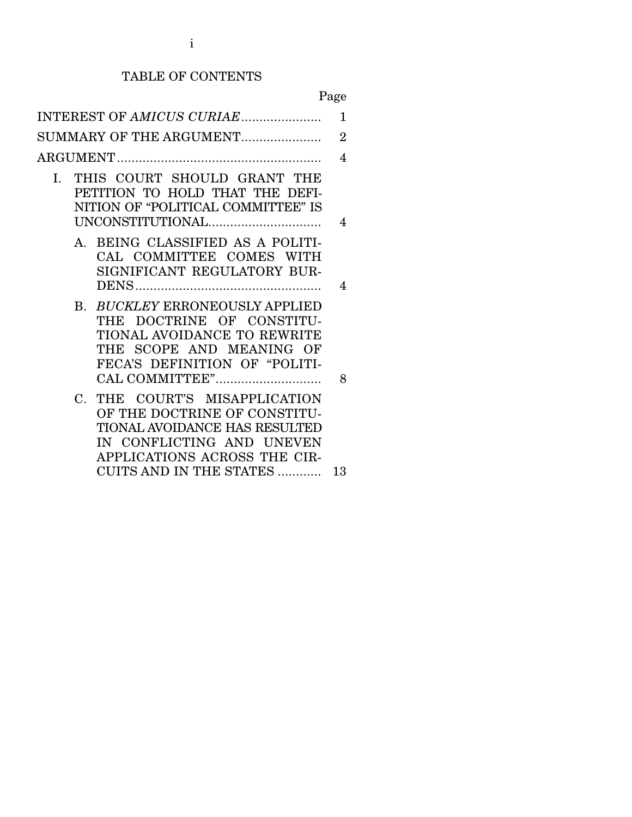## TABLE OF CONTENTS

Page

| INTEREST OF AMICUS CURIAE                                                                                                                                   | 1              |
|-------------------------------------------------------------------------------------------------------------------------------------------------------------|----------------|
| SUMMARY OF THE ARGUMENT                                                                                                                                     | $\overline{2}$ |
|                                                                                                                                                             | 4              |
| THIS COURT SHOULD GRANT THE<br>I.<br>PETITION TO HOLD THAT THE DEFI-<br>NITION OF "POLITICAL COMMITTEE" IS<br>UNCONSTITUTIONAL                              | 4              |
| A. BEING CLASSIFIED AS A POLITI-<br>CAL COMMITTEE COMES WITH<br>SIGNIFICANT REGULATORY BUR-                                                                 | 4              |
| B. BUCKLEY ERRONEOUSLY APPLIED<br>THE DOCTRINE OF CONSTITU-<br>TIONAL AVOIDANCE TO REWRITE<br>THE SCOPE AND MEANING OF<br>FECA'S DEFINITION OF "POLITI-     | 8              |
| C. THE COURT'S MISAPPLICATION<br>OF THE DOCTRINE OF CONSTITU-<br>TIONAL AVOIDANCE HAS RESULTED<br>IN CONFLICTING AND UNEVEN<br>APPLICATIONS ACROSS THE CIR- |                |
| CUITS AND IN THE STATES                                                                                                                                     | 13             |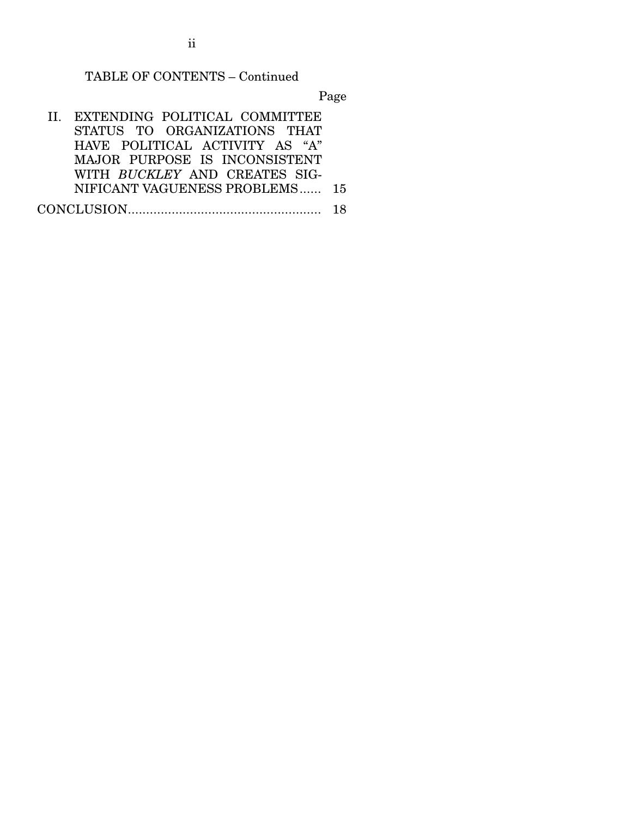TABLE OF CONTENTS – Continued

Page

 II. EXTENDING POLITICAL COMMITTEE STATUS TO ORGANIZATIONS THAT HAVE POLITICAL ACTIVITY AS "A" MAJOR PURPOSE IS INCONSISTENT WITH *BUCKLEY* AND CREATES SIG-NIFICANT VAGUENESS PROBLEMS ...... 15 CONCLUSION ..................................................... 18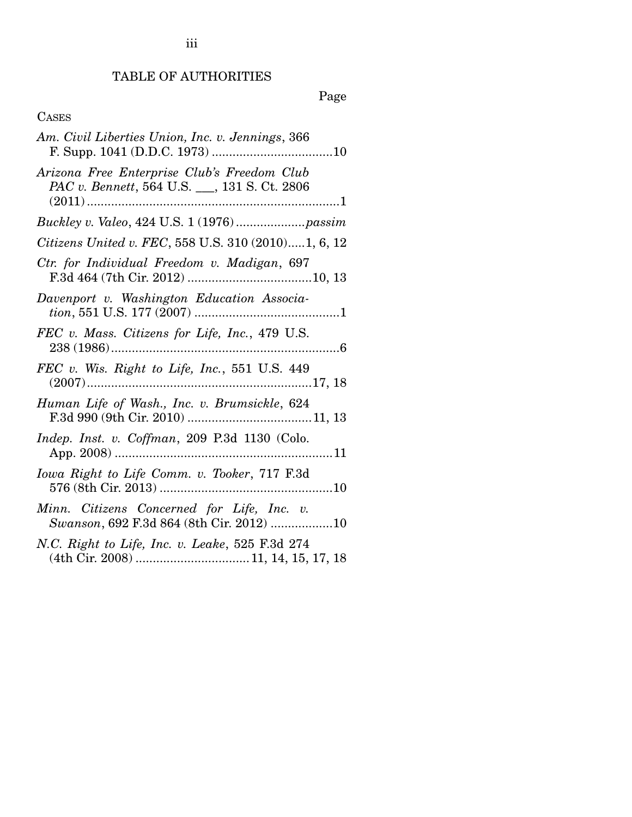## TABLE OF AUTHORITIES

## Page

## CASES

| Am. Civil Liberties Union, Inc. v. Jennings, 366                                            |
|---------------------------------------------------------------------------------------------|
| Arizona Free Enterprise Club's Freedom Club<br>PAC v. Bennett, 564 U.S. __, 131 S. Ct. 2806 |
|                                                                                             |
| Citizens United v. FEC, 558 U.S. 310 (2010)1, 6, 12                                         |
| Ctr. for Individual Freedom v. Madigan, 697                                                 |
| Davenport v. Washington Education Associa-                                                  |
| FEC v. Mass. Citizens for Life, Inc., 479 U.S.                                              |
| FEC v. Wis. Right to Life, Inc., 551 U.S. 449                                               |
| Human Life of Wash., Inc. v. Brumsickle, 624                                                |
| Indep. Inst. v. Coffman, 209 P.3d 1130 (Colo.                                               |
| Iowa Right to Life Comm. v. Tooker, 717 F.3d                                                |
| Minn. Citizens Concerned for Life, Inc. v.<br>Swanson, 692 F.3d 864 (8th Cir. 2012) 10      |
| N.C. Right to Life, Inc. v. Leake, 525 F.3d 274                                             |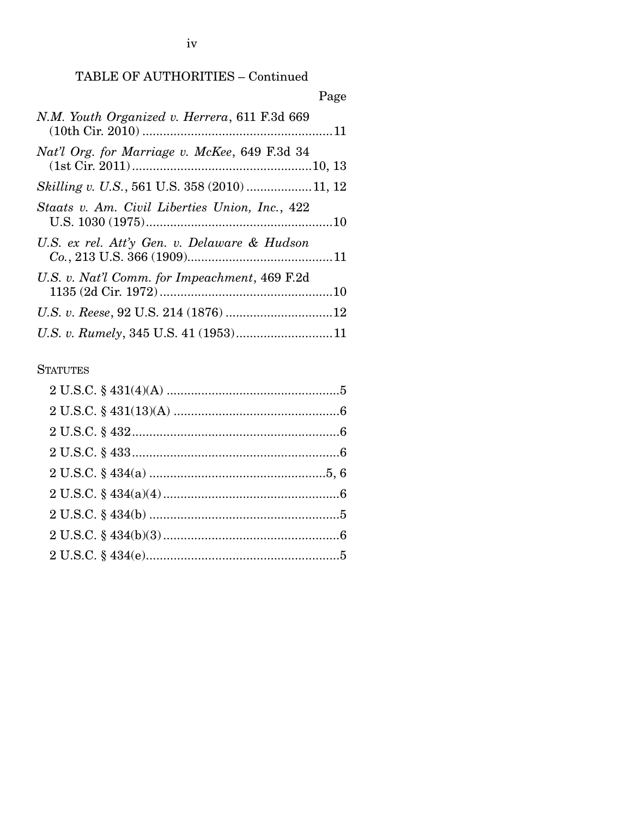iv

## TABLE OF AUTHORITIES – Continued

| Page                                           |
|------------------------------------------------|
| N.M. Youth Organized v. Herrera, 611 F.3d 669  |
| Nat'l Org. for Marriage v. McKee, 649 F.3d 34  |
|                                                |
| Staats v. Am. Civil Liberties Union, Inc., 422 |
| U.S. ex rel. Att'y Gen. v. Delaware & Hudson   |
| U.S. v. Nat'l Comm. for Impeachment, 469 F.2d  |
|                                                |
|                                                |

#### **STATUTES**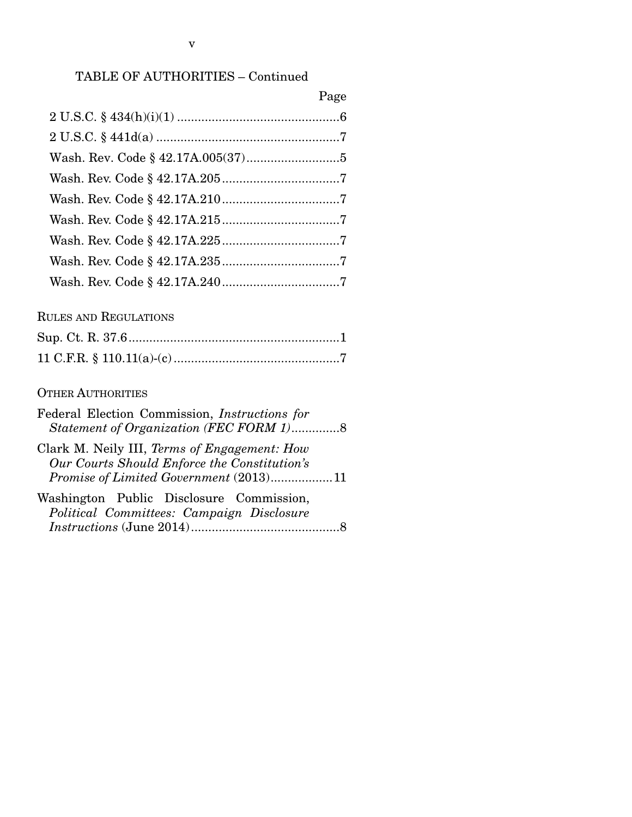## TABLE OF AUTHORITIES – Continued

|                               | Page |
|-------------------------------|------|
|                               |      |
| $2 U.S.C. § 441d(a) \dots 17$ |      |
|                               |      |
|                               |      |
|                               |      |
|                               |      |
|                               |      |
|                               |      |
|                               |      |

## RULES AND REGULATIONS

## OTHER AUTHORITIES

| Federal Election Commission, <i>Instructions</i> for<br>Statement of Organization (FEC FORM 1)8 |  |
|-------------------------------------------------------------------------------------------------|--|
| Clark M. Neily III, Terms of Engagement: How<br>Our Courts Should Enforce the Constitution's    |  |
| Promise of Limited Government (2013)11                                                          |  |
| Washington Public Disclosure Commission,<br>Political Committees: Campaign Disclosure           |  |
|                                                                                                 |  |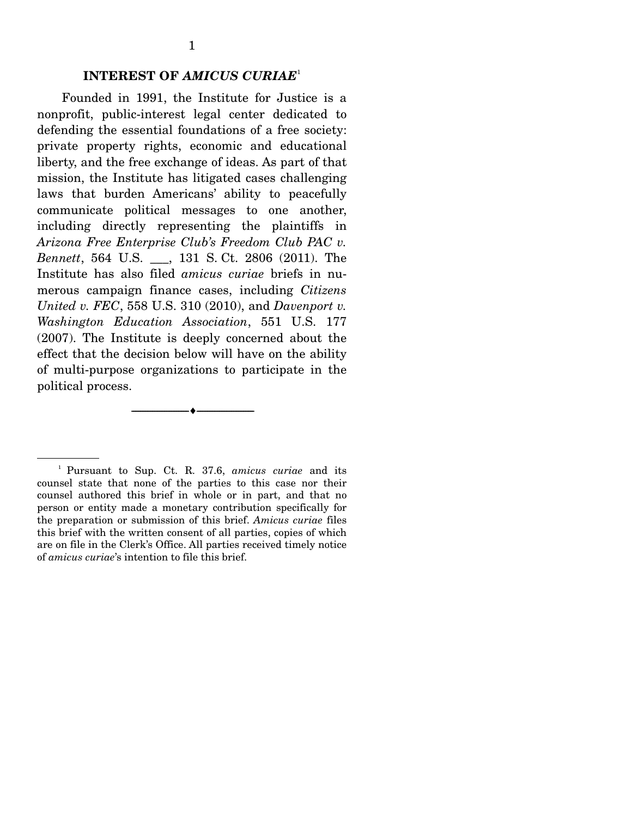#### **INTEREST OF** *AMICUS CURIAE*<sup>1</sup>

 Founded in 1991, the Institute for Justice is a nonprofit, public-interest legal center dedicated to defending the essential foundations of a free society: private property rights, economic and educational liberty, and the free exchange of ideas. As part of that mission, the Institute has litigated cases challenging laws that burden Americans' ability to peacefully communicate political messages to one another, including directly representing the plaintiffs in *Arizona Free Enterprise Club's Freedom Club PAC v. Bennett*, 564 U.S. \_\_\_, 131 S. Ct. 2806 (2011). The Institute has also filed *amicus curiae* briefs in numerous campaign finance cases, including *Citizens United v. FEC*, 558 U.S. 310 (2010), and *Davenport v. Washington Education Association*, 551 U.S. 177 (2007). The Institute is deeply concerned about the effect that the decision below will have on the ability of multi-purpose organizations to participate in the political process.

--------------------------------- ---------------------------------

<sup>1</sup> Pursuant to Sup. Ct. R. 37.6, *amicus curiae* and its counsel state that none of the parties to this case nor their counsel authored this brief in whole or in part, and that no person or entity made a monetary contribution specifically for the preparation or submission of this brief. *Amicus curiae* files this brief with the written consent of all parties, copies of which are on file in the Clerk's Office. All parties received timely notice of *amicus curiae*'s intention to file this brief.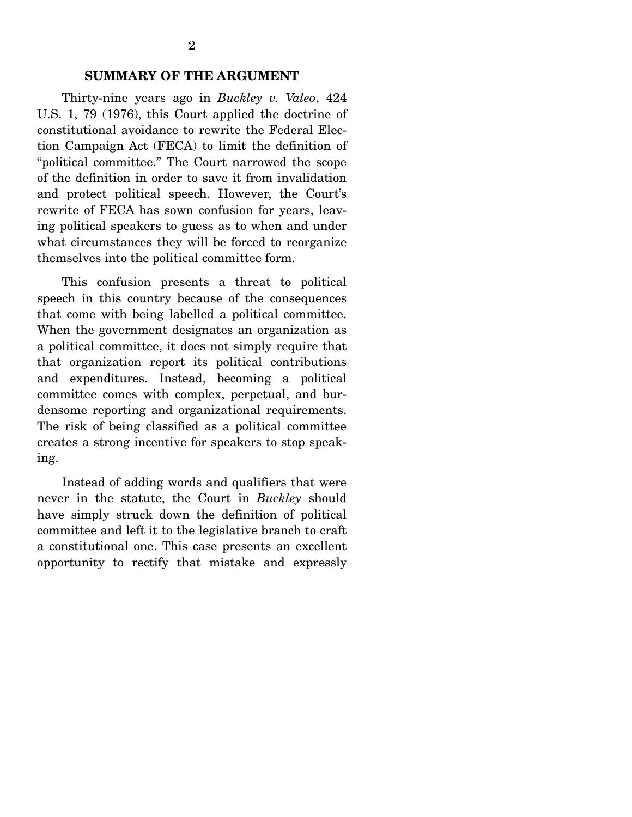#### **SUMMARY OF THE ARGUMENT**

 Thirty-nine years ago in *Buckley v. Valeo*, 424 U.S. 1, 79 (1976), this Court applied the doctrine of constitutional avoidance to rewrite the Federal Election Campaign Act (FECA) to limit the definition of "political committee." The Court narrowed the scope of the definition in order to save it from invalidation and protect political speech. However, the Court's rewrite of FECA has sown confusion for years, leaving political speakers to guess as to when and under what circumstances they will be forced to reorganize themselves into the political committee form.

 This confusion presents a threat to political speech in this country because of the consequences that come with being labelled a political committee. When the government designates an organization as a political committee, it does not simply require that that organization report its political contributions and expenditures. Instead, becoming a political committee comes with complex, perpetual, and burdensome reporting and organizational requirements. The risk of being classified as a political committee creates a strong incentive for speakers to stop speaking.

 Instead of adding words and qualifiers that were never in the statute, the Court in *Buckley* should have simply struck down the definition of political committee and left it to the legislative branch to craft a constitutional one. This case presents an excellent opportunity to rectify that mistake and expressly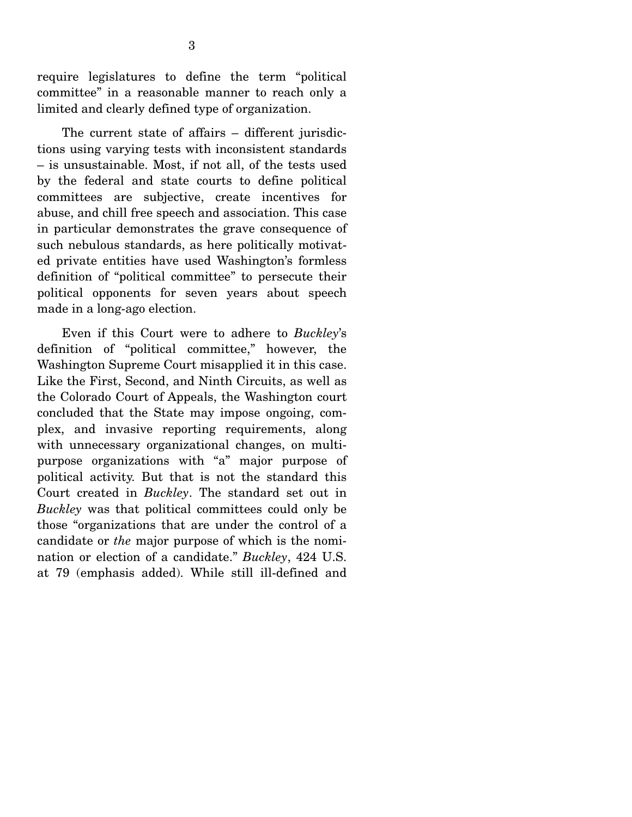require legislatures to define the term "political committee" in a reasonable manner to reach only a limited and clearly defined type of organization.

 The current state of affairs – different jurisdictions using varying tests with inconsistent standards – is unsustainable. Most, if not all, of the tests used by the federal and state courts to define political committees are subjective, create incentives for abuse, and chill free speech and association. This case in particular demonstrates the grave consequence of such nebulous standards, as here politically motivated private entities have used Washington's formless definition of "political committee" to persecute their political opponents for seven years about speech made in a long-ago election.

 Even if this Court were to adhere to *Buckley*'s definition of "political committee," however, the Washington Supreme Court misapplied it in this case. Like the First, Second, and Ninth Circuits, as well as the Colorado Court of Appeals, the Washington court concluded that the State may impose ongoing, complex, and invasive reporting requirements, along with unnecessary organizational changes, on multipurpose organizations with "a" major purpose of political activity. But that is not the standard this Court created in *Buckley*. The standard set out in *Buckley* was that political committees could only be those "organizations that are under the control of a candidate or *the* major purpose of which is the nomination or election of a candidate." *Buckley*, 424 U.S. at 79 (emphasis added). While still ill-defined and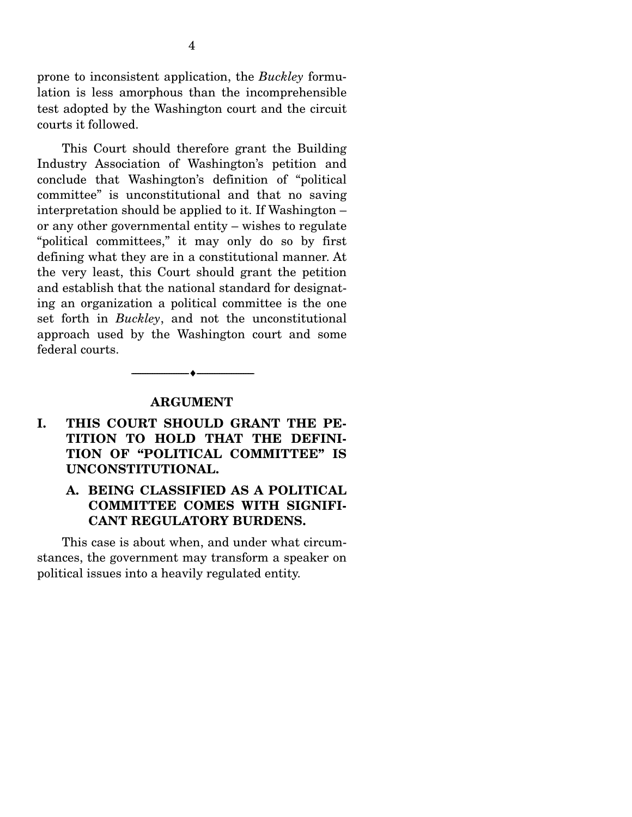prone to inconsistent application, the *Buckley* formulation is less amorphous than the incomprehensible test adopted by the Washington court and the circuit courts it followed.

 This Court should therefore grant the Building Industry Association of Washington's petition and conclude that Washington's definition of "political committee" is unconstitutional and that no saving interpretation should be applied to it. If Washington – or any other governmental entity – wishes to regulate "political committees," it may only do so by first defining what they are in a constitutional manner. At the very least, this Court should grant the petition and establish that the national standard for designating an organization a political committee is the one set forth in *Buckley*, and not the unconstitutional approach used by the Washington court and some federal courts.

#### **ARGUMENT**

--------------------------------- ---------------------------------

### **I. THIS COURT SHOULD GRANT THE PE-TITION TO HOLD THAT THE DEFINI-TION OF "POLITICAL COMMITTEE" IS UNCONSTITUTIONAL.**

#### **A. BEING CLASSIFIED AS A POLITICAL COMMITTEE COMES WITH SIGNIFI-CANT REGULATORY BURDENS.**

 This case is about when, and under what circumstances, the government may transform a speaker on political issues into a heavily regulated entity.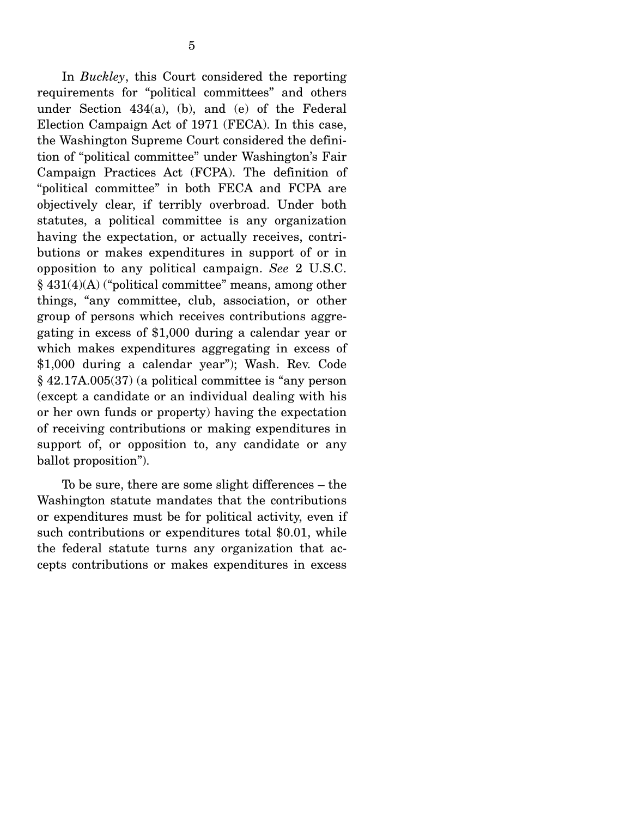In *Buckley*, this Court considered the reporting requirements for "political committees" and others under Section 434(a), (b), and (e) of the Federal Election Campaign Act of 1971 (FECA). In this case, the Washington Supreme Court considered the definition of "political committee" under Washington's Fair Campaign Practices Act (FCPA). The definition of "political committee" in both FECA and FCPA are objectively clear, if terribly overbroad. Under both statutes, a political committee is any organization having the expectation, or actually receives, contributions or makes expenditures in support of or in opposition to any political campaign. *See* 2 U.S.C. § 431(4)(A) ("political committee" means, among other things, "any committee, club, association, or other group of persons which receives contributions aggregating in excess of \$1,000 during a calendar year or which makes expenditures aggregating in excess of \$1,000 during a calendar year"); Wash. Rev. Code § 42.17A.005(37) (a political committee is "any person (except a candidate or an individual dealing with his or her own funds or property) having the expectation of receiving contributions or making expenditures in support of, or opposition to, any candidate or any ballot proposition").

 To be sure, there are some slight differences – the Washington statute mandates that the contributions or expenditures must be for political activity, even if such contributions or expenditures total \$0.01, while the federal statute turns any organization that accepts contributions or makes expenditures in excess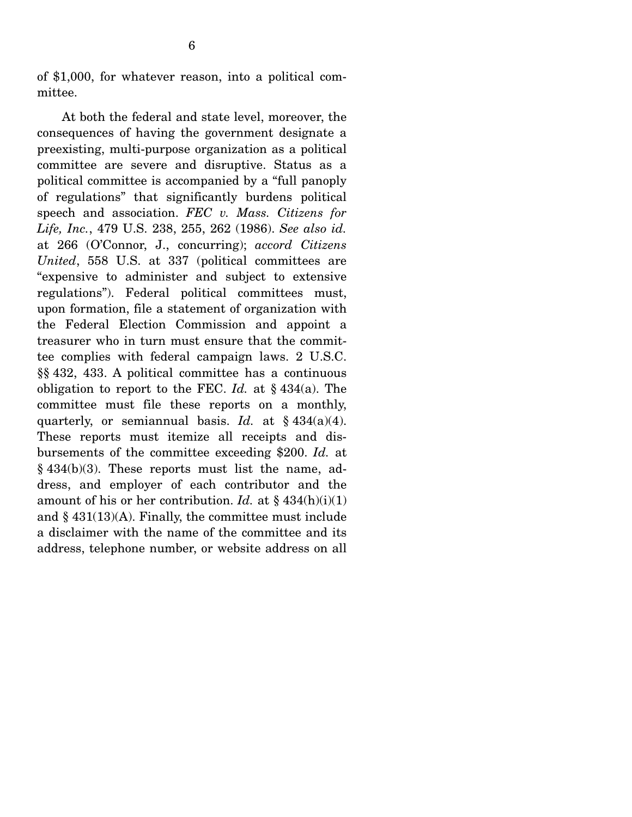of \$1,000, for whatever reason, into a political committee.

 At both the federal and state level, moreover, the consequences of having the government designate a preexisting, multi-purpose organization as a political committee are severe and disruptive. Status as a political committee is accompanied by a "full panoply of regulations" that significantly burdens political speech and association. *FEC v. Mass. Citizens for Life, Inc.*, 479 U.S. 238, 255, 262 (1986). *See also id.* at 266 (O'Connor, J., concurring); *accord Citizens United*, 558 U.S. at 337 (political committees are "expensive to administer and subject to extensive regulations"). Federal political committees must, upon formation, file a statement of organization with the Federal Election Commission and appoint a treasurer who in turn must ensure that the committee complies with federal campaign laws. 2 U.S.C. §§ 432, 433. A political committee has a continuous obligation to report to the FEC. *Id.* at § 434(a). The committee must file these reports on a monthly, quarterly, or semiannual basis. *Id.* at § 434(a)(4). These reports must itemize all receipts and disbursements of the committee exceeding \$200. *Id.* at  $§$  434(b)(3). These reports must list the name, address, and employer of each contributor and the amount of his or her contribution. *Id.* at  $\S$  434(h)(i)(1) and  $§$  431(13)(A). Finally, the committee must include a disclaimer with the name of the committee and its address, telephone number, or website address on all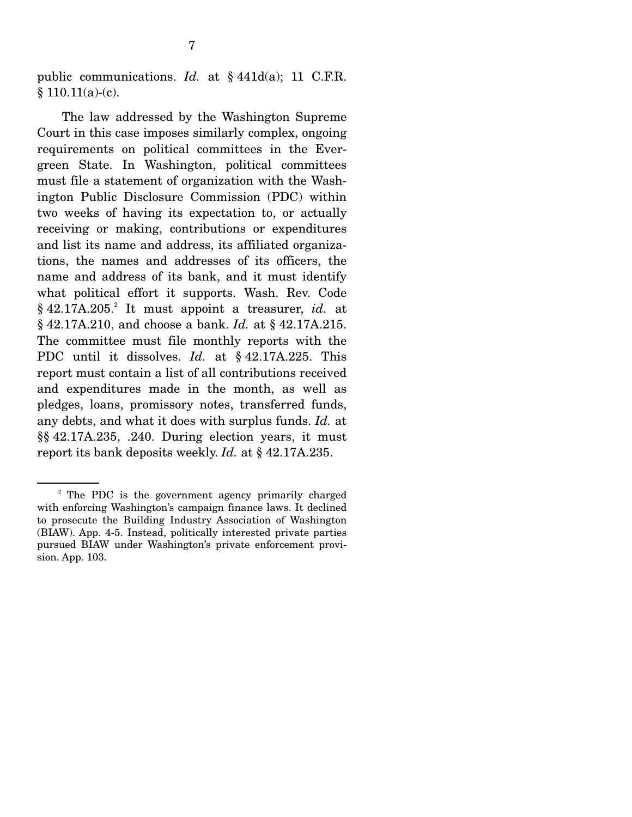public communications. *Id.* at § 441d(a); 11 C.F.R.  $§ 110.11(a)-(c).$ 

 The law addressed by the Washington Supreme Court in this case imposes similarly complex, ongoing requirements on political committees in the Evergreen State. In Washington, political committees must file a statement of organization with the Washington Public Disclosure Commission (PDC) within two weeks of having its expectation to, or actually receiving or making, contributions or expenditures and list its name and address, its affiliated organizations, the names and addresses of its officers, the name and address of its bank, and it must identify what political effort it supports. Wash. Rev. Code § 42.17A.205.<sup>2</sup> It must appoint a treasurer, *id.* at § 42.17A.210, and choose a bank. *Id.* at § 42.17A.215. The committee must file monthly reports with the PDC until it dissolves. *Id.* at § 42.17A.225. This report must contain a list of all contributions received and expenditures made in the month, as well as pledges, loans, promissory notes, transferred funds, any debts, and what it does with surplus funds. *Id.* at §§ 42.17A.235, .240. During election years, it must report its bank deposits weekly. *Id.* at § 42.17A.235.

<sup>&</sup>lt;sup>2</sup> The PDC is the government agency primarily charged with enforcing Washington's campaign finance laws. It declined to prosecute the Building Industry Association of Washington (BIAW). App. 4-5. Instead, politically interested private parties pursued BIAW under Washington's private enforcement provision. App. 103.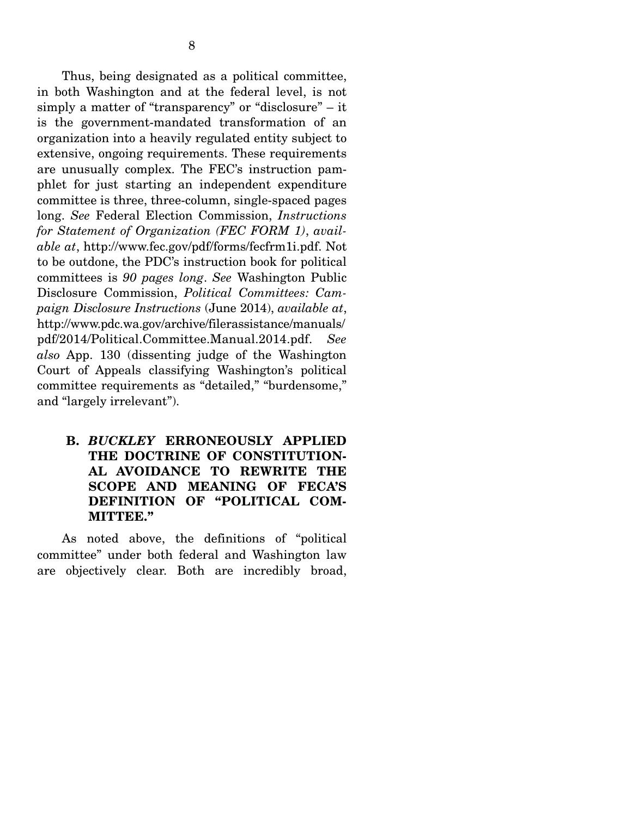Thus, being designated as a political committee, in both Washington and at the federal level, is not simply a matter of "transparency" or "disclosure" – it is the government-mandated transformation of an organization into a heavily regulated entity subject to extensive, ongoing requirements. These requirements are unusually complex. The FEC's instruction pamphlet for just starting an independent expenditure committee is three, three-column, single-spaced pages long. *See* Federal Election Commission, *Instructions for Statement of Organization (FEC FORM 1)*, *available at*, http://www.fec.gov/pdf/forms/fecfrm1i.pdf. Not to be outdone, the PDC's instruction book for political committees is *90 pages long*. *See* Washington Public Disclosure Commission, *Political Committees: Campaign Disclosure Instructions* (June 2014), *available at*, http://www.pdc.wa.gov/archive/filerassistance/manuals/ pdf/2014/Political.Committee.Manual.2014.pdf. *See also* App. 130 (dissenting judge of the Washington Court of Appeals classifying Washington's political committee requirements as "detailed," "burdensome," and "largely irrelevant").

### **B.** *BUCKLEY* **ERRONEOUSLY APPLIED THE DOCTRINE OF CONSTITUTION-AL AVOIDANCE TO REWRITE THE SCOPE AND MEANING OF FECA'S DEFINITION OF "POLITICAL COM-MITTEE."**

 As noted above, the definitions of "political committee" under both federal and Washington law are objectively clear. Both are incredibly broad,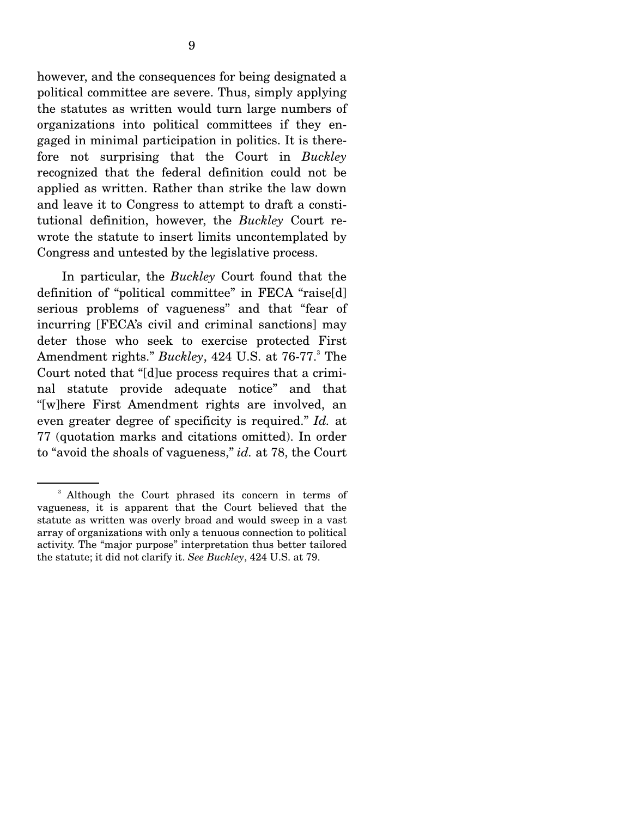however, and the consequences for being designated a political committee are severe. Thus, simply applying the statutes as written would turn large numbers of organizations into political committees if they engaged in minimal participation in politics. It is therefore not surprising that the Court in *Buckley* recognized that the federal definition could not be applied as written. Rather than strike the law down and leave it to Congress to attempt to draft a constitutional definition, however, the *Buckley* Court rewrote the statute to insert limits uncontemplated by

Congress and untested by the legislative process.

 In particular, the *Buckley* Court found that the definition of "political committee" in FECA "raise[d] serious problems of vagueness" and that "fear of incurring [FECA's civil and criminal sanctions] may deter those who seek to exercise protected First Amendment rights." Buckley, 424 U.S. at 76-77.<sup>3</sup> The Court noted that "[d]ue process requires that a criminal statute provide adequate notice" and that "[w]here First Amendment rights are involved, an even greater degree of specificity is required." *Id.* at 77 (quotation marks and citations omitted). In order to "avoid the shoals of vagueness," *id.* at 78, the Court

<sup>&</sup>lt;sup>3</sup> Although the Court phrased its concern in terms of vagueness, it is apparent that the Court believed that the statute as written was overly broad and would sweep in a vast array of organizations with only a tenuous connection to political activity. The "major purpose" interpretation thus better tailored the statute; it did not clarify it. *See Buckley*, 424 U.S. at 79.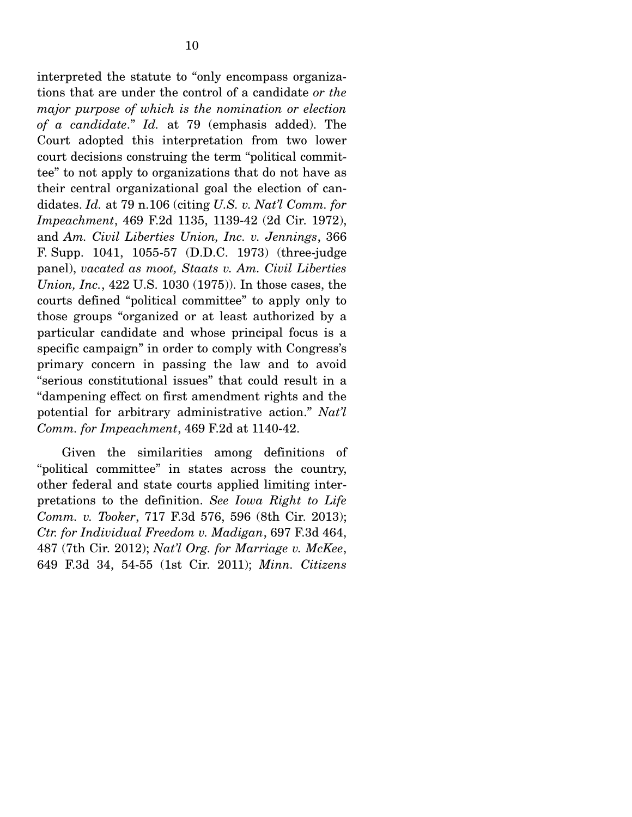interpreted the statute to "only encompass organizations that are under the control of a candidate *or the major purpose of which is the nomination or election of a candidate*." *Id.* at 79 (emphasis added). The Court adopted this interpretation from two lower court decisions construing the term "political committee" to not apply to organizations that do not have as their central organizational goal the election of candidates. *Id.* at 79 n.106 (citing *U.S. v. Nat'l Comm. for Impeachment*, 469 F.2d 1135, 1139-42 (2d Cir. 1972), and *Am. Civil Liberties Union, Inc. v. Jennings*, 366 F. Supp. 1041, 1055-57 (D.D.C. 1973) (three-judge panel), *vacated as moot, Staats v. Am. Civil Liberties Union, Inc.*, 422 U.S. 1030 (1975)). In those cases, the courts defined "political committee" to apply only to those groups "organized or at least authorized by a particular candidate and whose principal focus is a specific campaign" in order to comply with Congress's primary concern in passing the law and to avoid "serious constitutional issues" that could result in a "dampening effect on first amendment rights and the potential for arbitrary administrative action." *Nat'l Comm. for Impeachment*, 469 F.2d at 1140-42.

 Given the similarities among definitions of "political committee" in states across the country, other federal and state courts applied limiting interpretations to the definition. *See Iowa Right to Life Comm. v. Tooker*, 717 F.3d 576, 596 (8th Cir. 2013); *Ctr. for Individual Freedom v. Madigan*, 697 F.3d 464, 487 (7th Cir. 2012); *Nat'l Org. for Marriage v. McKee*, 649 F.3d 34, 54-55 (1st Cir. 2011); *Minn. Citizens*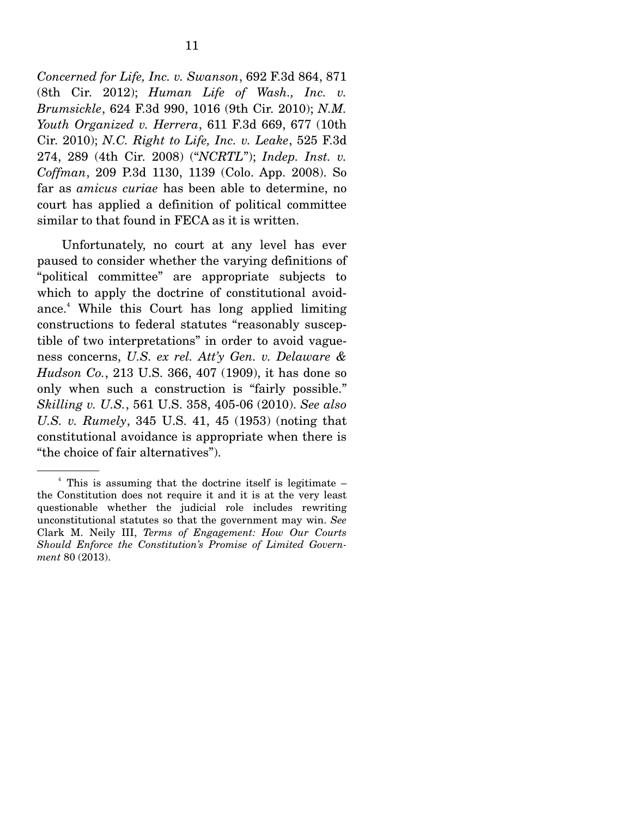*Concerned for Life, Inc. v. Swanson*, 692 F.3d 864, 871 (8th Cir. 2012); *Human Life of Wash., Inc. v. Brumsickle*, 624 F.3d 990, 1016 (9th Cir. 2010); *N.M. Youth Organized v. Herrera*, 611 F.3d 669, 677 (10th Cir. 2010); *N.C. Right to Life, Inc. v. Leake*, 525 F.3d 274, 289 (4th Cir. 2008) ("*NCRTL*"); *Indep. Inst. v. Coffman*, 209 P.3d 1130, 1139 (Colo. App. 2008). So far as *amicus curiae* has been able to determine, no court has applied a definition of political committee similar to that found in FECA as it is written.

 Unfortunately, no court at any level has ever paused to consider whether the varying definitions of "political committee" are appropriate subjects to which to apply the doctrine of constitutional avoidance.<sup>4</sup> While this Court has long applied limiting constructions to federal statutes "reasonably susceptible of two interpretations" in order to avoid vagueness concerns, *U.S. ex rel. Att'y Gen. v. Delaware & Hudson Co.*, 213 U.S. 366, 407 (1909), it has done so only when such a construction is "fairly possible." *Skilling v. U.S.*, 561 U.S. 358, 405-06 (2010). *See also U.S. v. Rumely*, 345 U.S. 41, 45 (1953) (noting that constitutional avoidance is appropriate when there is "the choice of fair alternatives").

<sup>4</sup> This is assuming that the doctrine itself is legitimate – the Constitution does not require it and it is at the very least questionable whether the judicial role includes rewriting unconstitutional statutes so that the government may win. *See*  Clark M. Neily III, *Terms of Engagement: How Our Courts Should Enforce the Constitution's Promise of Limited Government* 80 (2013).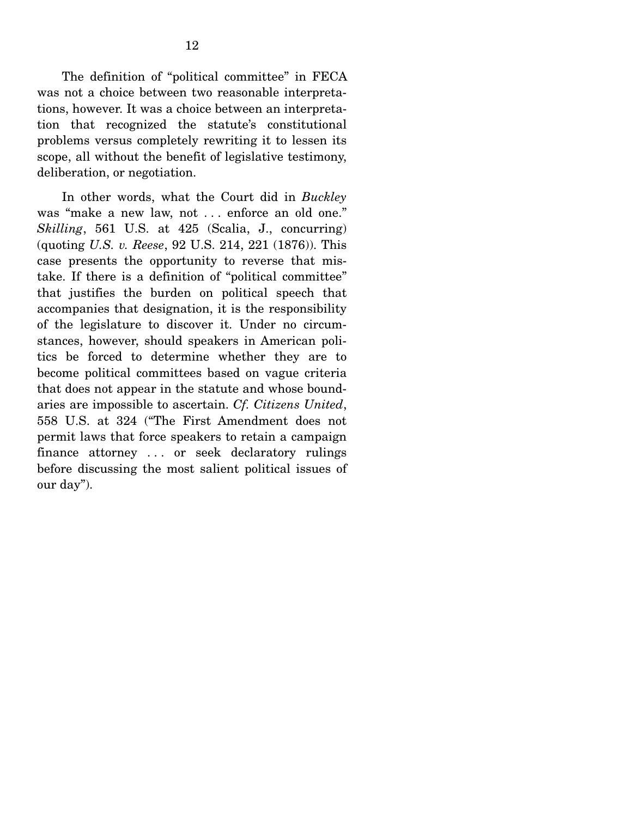The definition of "political committee" in FECA was not a choice between two reasonable interpretations, however. It was a choice between an interpretation that recognized the statute's constitutional problems versus completely rewriting it to lessen its scope, all without the benefit of legislative testimony, deliberation, or negotiation.

 In other words, what the Court did in *Buckley* was "make a new law, not ... enforce an old one." *Skilling*, 561 U.S. at 425 (Scalia, J., concurring) (quoting *U.S. v. Reese*, 92 U.S. 214, 221 (1876)). This case presents the opportunity to reverse that mistake. If there is a definition of "political committee" that justifies the burden on political speech that accompanies that designation, it is the responsibility of the legislature to discover it. Under no circumstances, however, should speakers in American politics be forced to determine whether they are to become political committees based on vague criteria that does not appear in the statute and whose boundaries are impossible to ascertain. *Cf. Citizens United*, 558 U.S. at 324 ("The First Amendment does not permit laws that force speakers to retain a campaign finance attorney . . . or seek declaratory rulings before discussing the most salient political issues of our day").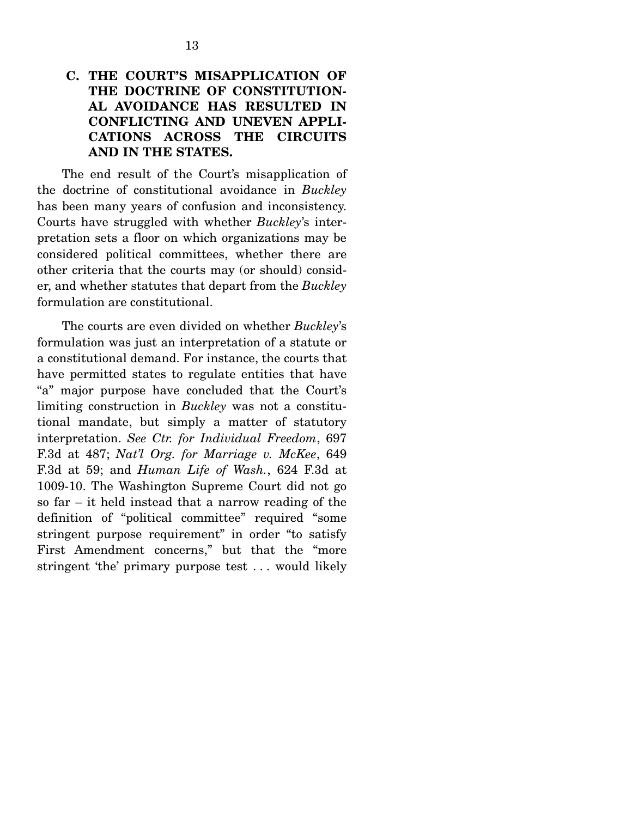## **C. THE COURT'S MISAPPLICATION OF THE DOCTRINE OF CONSTITUTION-AL AVOIDANCE HAS RESULTED IN CONFLICTING AND UNEVEN APPLI-CATIONS ACROSS THE CIRCUITS AND IN THE STATES.**

 The end result of the Court's misapplication of the doctrine of constitutional avoidance in *Buckley* has been many years of confusion and inconsistency. Courts have struggled with whether *Buckley*'s interpretation sets a floor on which organizations may be considered political committees, whether there are other criteria that the courts may (or should) consider, and whether statutes that depart from the *Buckley* formulation are constitutional.

 The courts are even divided on whether *Buckley*'s formulation was just an interpretation of a statute or a constitutional demand. For instance, the courts that have permitted states to regulate entities that have "a" major purpose have concluded that the Court's limiting construction in *Buckley* was not a constitutional mandate, but simply a matter of statutory interpretation. *See Ctr. for Individual Freedom*, 697 F.3d at 487; *Nat'l Org. for Marriage v. McKee*, 649 F.3d at 59; and *Human Life of Wash.*, 624 F.3d at 1009-10. The Washington Supreme Court did not go so far – it held instead that a narrow reading of the definition of "political committee" required "some stringent purpose requirement" in order "to satisfy First Amendment concerns," but that the "more stringent 'the' primary purpose test . . . would likely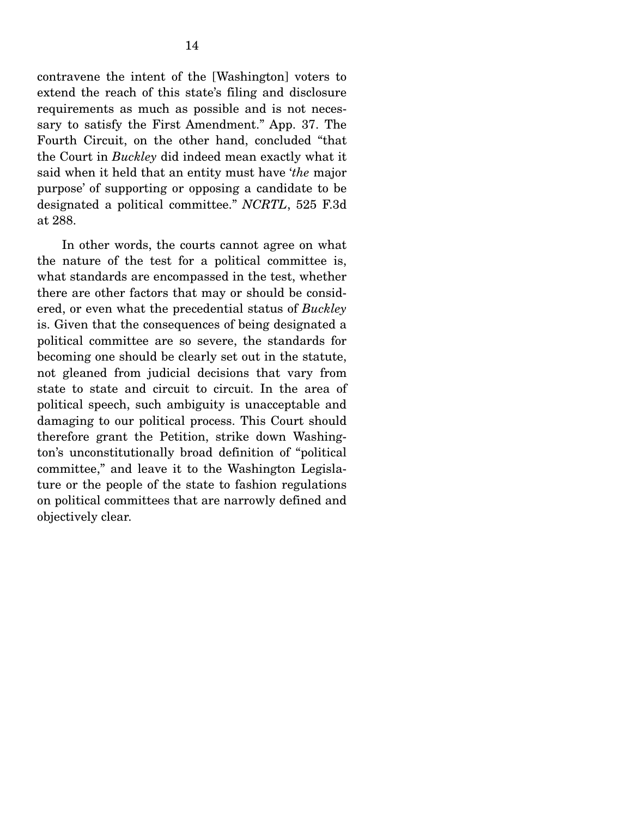contravene the intent of the [Washington] voters to extend the reach of this state's filing and disclosure requirements as much as possible and is not necessary to satisfy the First Amendment." App. 37. The Fourth Circuit, on the other hand, concluded "that the Court in *Buckley* did indeed mean exactly what it said when it held that an entity must have '*the* major purpose' of supporting or opposing a candidate to be designated a political committee." *NCRTL*, 525 F.3d at 288.

 In other words, the courts cannot agree on what the nature of the test for a political committee is, what standards are encompassed in the test, whether there are other factors that may or should be considered, or even what the precedential status of *Buckley* is. Given that the consequences of being designated a political committee are so severe, the standards for becoming one should be clearly set out in the statute, not gleaned from judicial decisions that vary from state to state and circuit to circuit. In the area of political speech, such ambiguity is unacceptable and damaging to our political process. This Court should therefore grant the Petition, strike down Washington's unconstitutionally broad definition of "political committee," and leave it to the Washington Legislature or the people of the state to fashion regulations on political committees that are narrowly defined and objectively clear.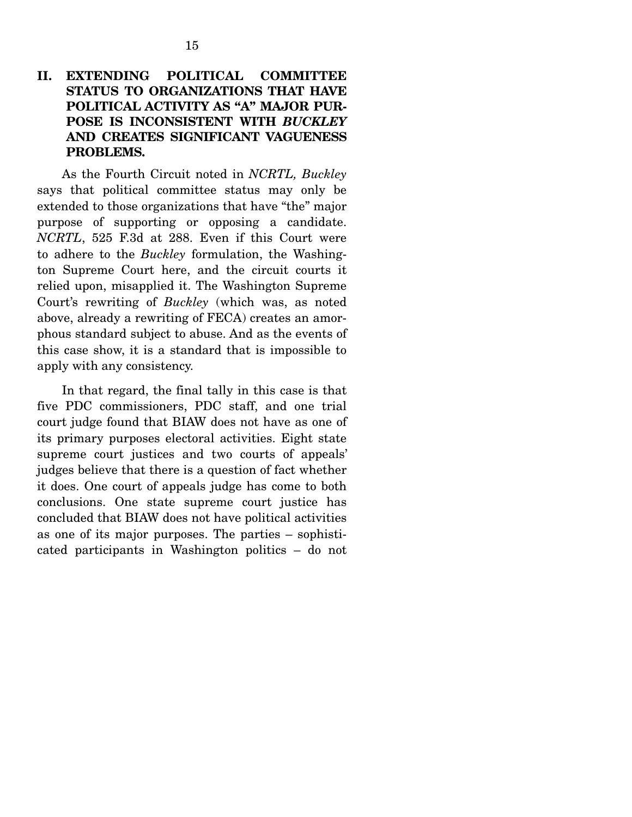**PROBLEMS.**

**AND CREATES SIGNIFICANT VAGUENESS** 

 As the Fourth Circuit noted in *NCRTL, Buckley* says that political committee status may only be extended to those organizations that have "the" major purpose of supporting or opposing a candidate. *NCRTL*, 525 F.3d at 288. Even if this Court were to adhere to the *Buckley* formulation, the Washington Supreme Court here, and the circuit courts it relied upon, misapplied it. The Washington Supreme Court's rewriting of *Buckley* (which was, as noted above, already a rewriting of FECA) creates an amorphous standard subject to abuse. And as the events of this case show, it is a standard that is impossible to apply with any consistency.

 In that regard, the final tally in this case is that five PDC commissioners, PDC staff, and one trial court judge found that BIAW does not have as one of its primary purposes electoral activities. Eight state supreme court justices and two courts of appeals' judges believe that there is a question of fact whether it does. One court of appeals judge has come to both conclusions. One state supreme court justice has concluded that BIAW does not have political activities as one of its major purposes. The parties – sophisticated participants in Washington politics – do not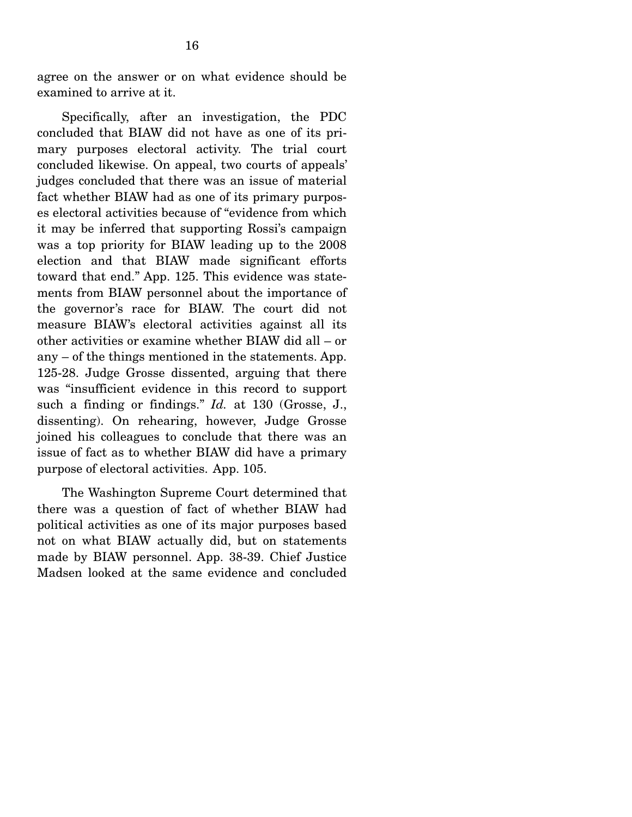agree on the answer or on what evidence should be examined to arrive at it.

 Specifically, after an investigation, the PDC concluded that BIAW did not have as one of its primary purposes electoral activity. The trial court concluded likewise. On appeal, two courts of appeals' judges concluded that there was an issue of material fact whether BIAW had as one of its primary purposes electoral activities because of "evidence from which it may be inferred that supporting Rossi's campaign was a top priority for BIAW leading up to the 2008 election and that BIAW made significant efforts toward that end." App. 125. This evidence was statements from BIAW personnel about the importance of the governor's race for BIAW. The court did not measure BIAW's electoral activities against all its other activities or examine whether BIAW did all – or any – of the things mentioned in the statements. App. 125-28. Judge Grosse dissented, arguing that there was "insufficient evidence in this record to support such a finding or findings." *Id.* at 130 (Grosse, J., dissenting). On rehearing, however, Judge Grosse joined his colleagues to conclude that there was an issue of fact as to whether BIAW did have a primary purpose of electoral activities. App. 105.

 The Washington Supreme Court determined that there was a question of fact of whether BIAW had political activities as one of its major purposes based not on what BIAW actually did, but on statements made by BIAW personnel. App. 38-39. Chief Justice Madsen looked at the same evidence and concluded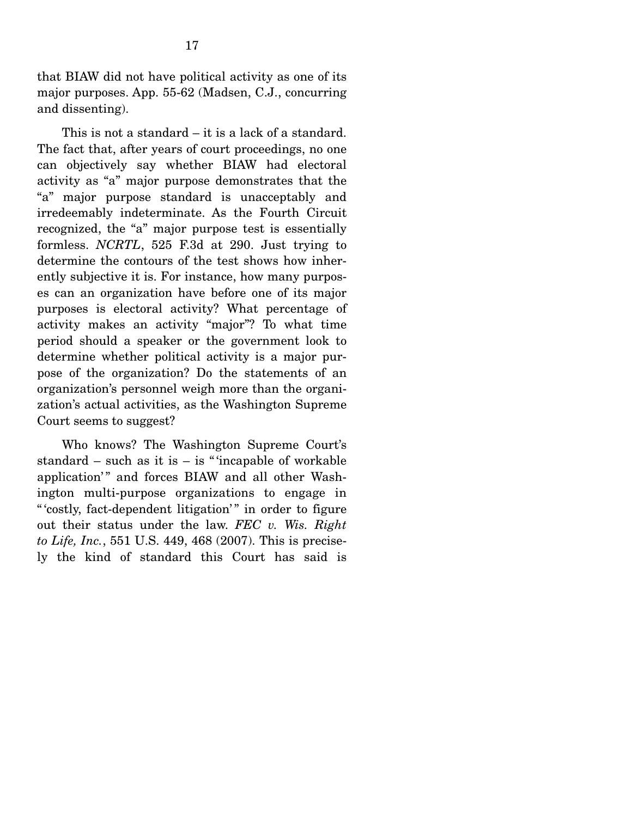that BIAW did not have political activity as one of its major purposes. App. 55-62 (Madsen, C.J., concurring and dissenting).

 This is not a standard – it is a lack of a standard. The fact that, after years of court proceedings, no one can objectively say whether BIAW had electoral activity as "a" major purpose demonstrates that the "a" major purpose standard is unacceptably and irredeemably indeterminate. As the Fourth Circuit recognized, the "a" major purpose test is essentially formless. *NCRTL*, 525 F.3d at 290. Just trying to determine the contours of the test shows how inherently subjective it is. For instance, how many purposes can an organization have before one of its major purposes is electoral activity? What percentage of activity makes an activity "major"? To what time period should a speaker or the government look to determine whether political activity is a major purpose of the organization? Do the statements of an organization's personnel weigh more than the organization's actual activities, as the Washington Supreme Court seems to suggest?

 Who knows? The Washington Supreme Court's standard – such as it is – is " 'incapable of workable application'" and forces BIAW and all other Washington multi-purpose organizations to engage in " 'costly, fact-dependent litigation'" in order to figure out their status under the law. *FEC v. Wis. Right to Life, Inc.*, 551 U.S. 449, 468 (2007). This is precisely the kind of standard this Court has said is